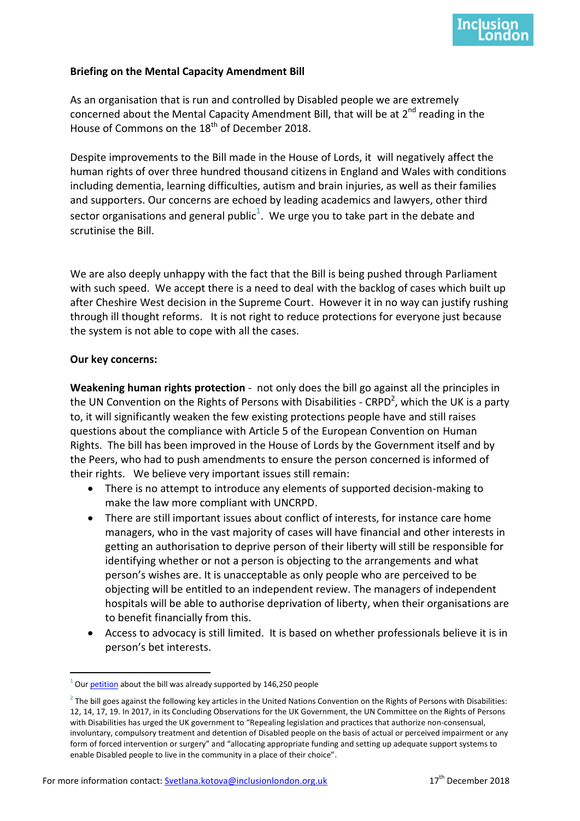## **Briefing on the Mental Capacity Amendment Bill**

As an organisation that is run and controlled by Disabled people we are extremely concerned about the Mental Capacity Amendment Bill, that will be at  $2^{nd}$  reading in the House of Commons on the 18<sup>th</sup> of December 2018.

Despite improvements to the Bill made in the House of Lords, it will negatively affect the human rights of over three hundred thousand citizens in England and Wales with conditions including dementia, learning difficulties, autism and brain injuries, as well as their families and supporters. Our concerns are echoed by leading academics and lawyers, other third sector organisations and general public<sup>1</sup>. We urge you to take part in the debate and scrutinise the Bill.

We are also deeply unhappy with the fact that the Bill is being pushed through Parliament with such speed. We accept there is a need to deal with the backlog of cases which built up after Cheshire West decision in the Supreme Court. However it in no way can justify rushing through ill thought reforms. It is not right to reduce protections for everyone just because the system is not able to cope with all the cases.

## **Our key concerns:**

**Weakening human rights protection** - not only does the bill go against all the principles in the UN Convention on the Rights of Persons with Disabilities - CRPD<sup>2</sup>, which the UK is a party to, it will significantly weaken the few existing protections people have and still raises questions about the compliance with Article 5 of the European Convention on Human Rights. The bill has been improved in the House of Lords by the Government itself and by the Peers, who had to push amendments to ensure the person concerned is informed of their rights. We believe very important issues still remain:

- There is no attempt to introduce any elements of supported decision-making to make the law more compliant with UNCRPD.
- There are still important issues about conflict of interests, for instance care home managers, who in the vast majority of cases will have financial and other interests in getting an authorisation to deprive person of their liberty will still be responsible for identifying whether or not a person is objecting to the arrangements and what person's wishes are. It is unacceptable as only people who are perceived to be objecting will be entitled to an independent review. The managers of independent hospitals will be able to authorise deprivation of liberty, when their organisations are to benefit financially from this.
- Access to advocacy is still limited. It is based on whether professionals believe it is in person's bet interests.

<sup>-</sup> $^{1}$  Our *petition* about the bill was already supported by 146,250 people

 $^2$  The bill goes against the following key articles in the United Nations Convention on the Rights of Persons with Disabilities: 12, 14, 17, 19. In 2017, in its Concluding Observations for the UK Government, the UN Committee on the Rights of Persons with Disabilities has urged the UK government to "Repealing legislation and practices that authorize non-consensual, involuntary, compulsory treatment and detention of Disabled people on the basis of actual or perceived impairment or any form of forced intervention or surgery" and "allocating appropriate funding and setting up adequate support systems to enable Disabled people to live in the community in a place of their choice".